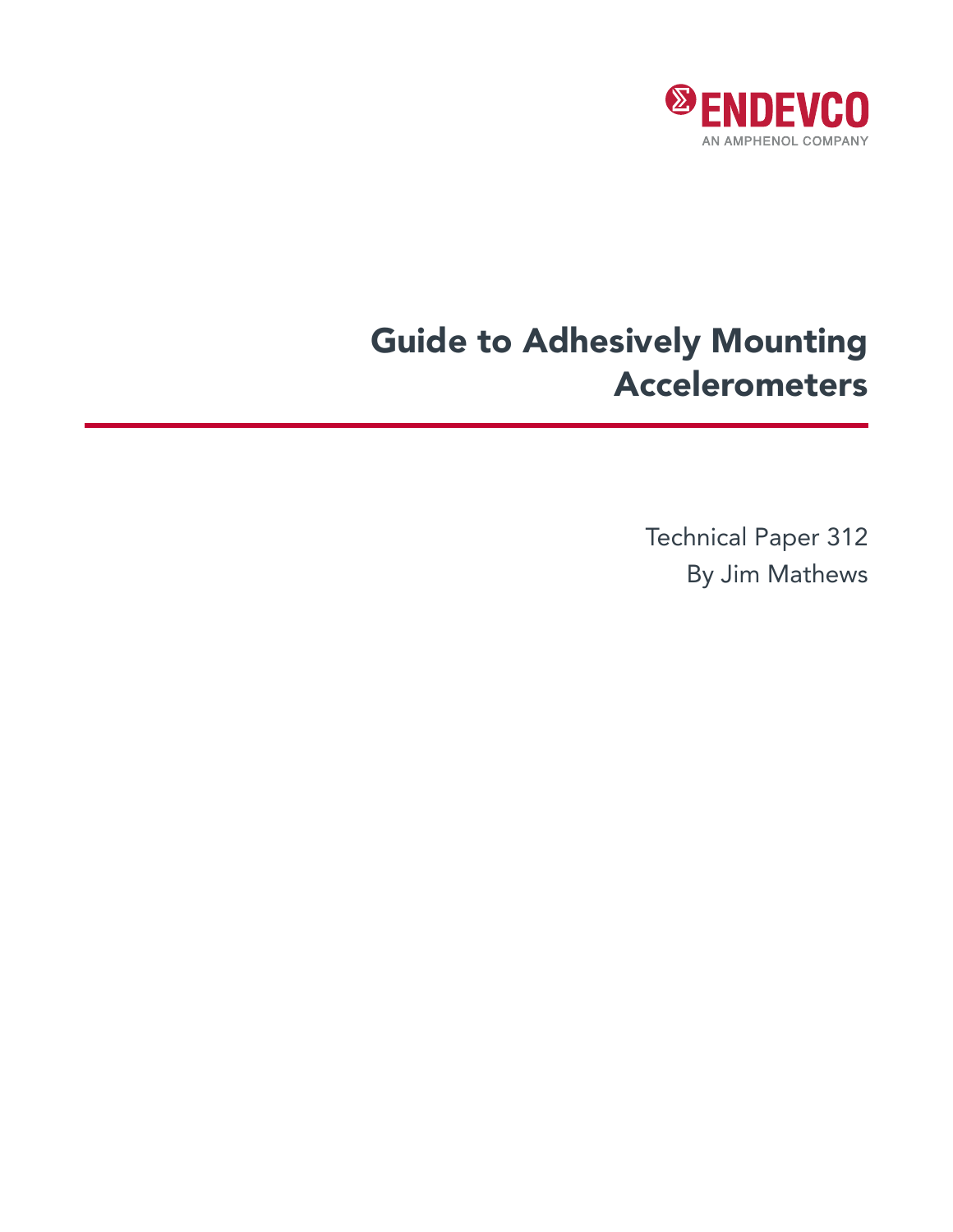

# Guide to Adhesively Mounting Accelerometers

Technical Paper 312 By Jim Mathews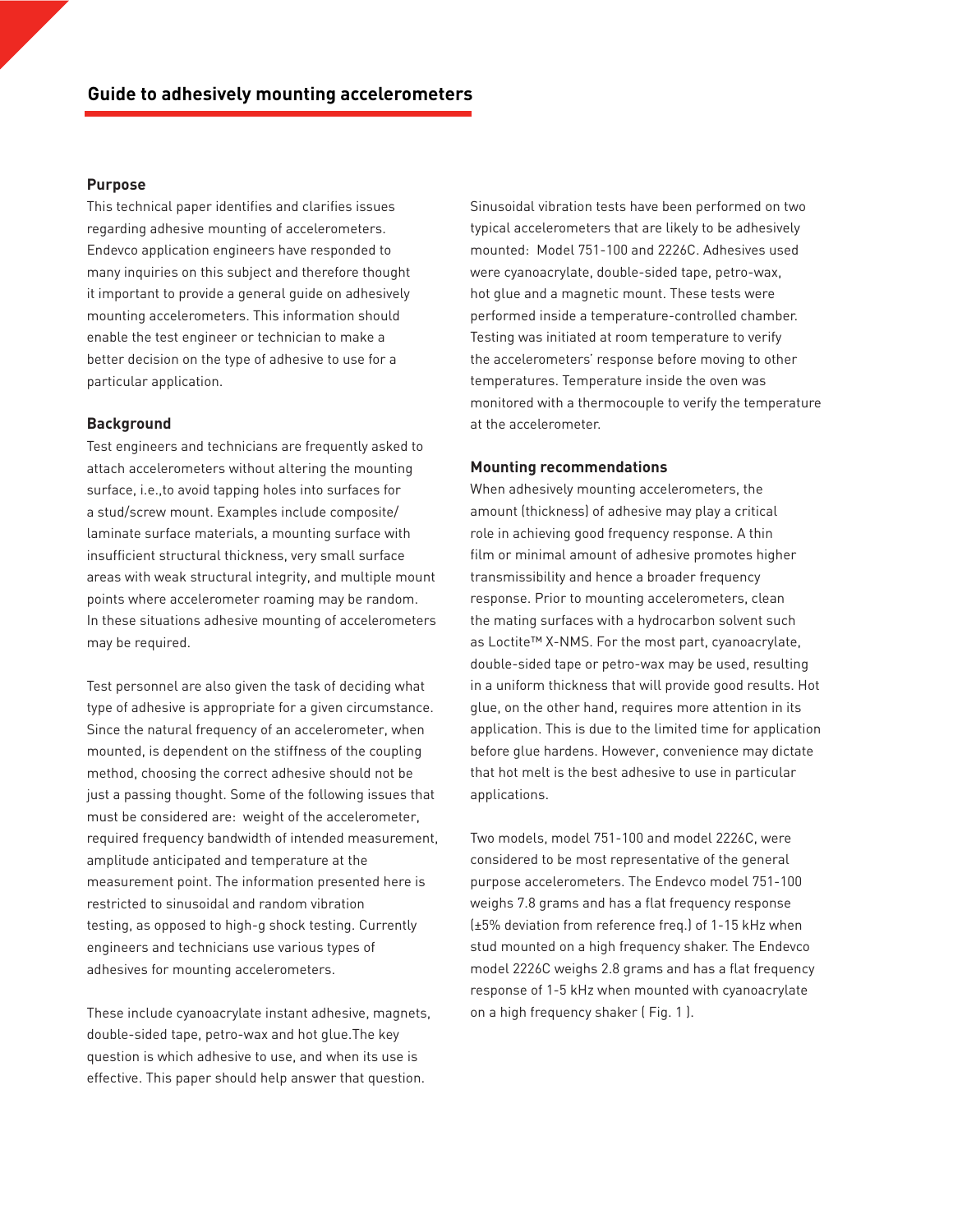## **Purpose**

This technical paper identifies and clarifies issues regarding adhesive mounting of accelerometers. Endevco application engineers have responded to many inquiries on this subject and therefore thought it important to provide a general guide on adhesively mounting accelerometers. This information should enable the test engineer or technician to make a better decision on the type of adhesive to use for a particular application.

## **Background**

Test engineers and technicians are frequently asked to attach accelerometers without altering the mounting surface, i.e.,to avoid tapping holes into surfaces for a stud/screw mount. Examples include composite/ laminate surface materials, a mounting surface with insufficient structural thickness, very small surface areas with weak structural integrity, and multiple mount points where accelerometer roaming may be random. In these situations adhesive mounting of accelerometers may be required.

Test personnel are also given the task of deciding what type of adhesive is appropriate for a given circumstance. Since the natural frequency of an accelerometer, when mounted, is dependent on the stiffness of the coupling method, choosing the correct adhesive should not be just a passing thought. Some of the following issues that must be considered are: weight of the accelerometer, required frequency bandwidth of intended measurement, amplitude anticipated and temperature at the measurement point. The information presented here is restricted to sinusoidal and random vibration testing, as opposed to high-g shock testing. Currently engineers and technicians use various types of adhesives for mounting accelerometers.

These include cyanoacrylate instant adhesive, magnets, double-sided tape, petro-wax and hot glue.The key question is which adhesive to use, and when its use is effective. This paper should help answer that question.

Sinusoidal vibration tests have been performed on two typical accelerometers that are likely to be adhesively mounted: Model 751-100 and 2226C. Adhesives used were cyanoacrylate, double-sided tape, petro-wax, hot glue and a magnetic mount. These tests were performed inside a temperature-controlled chamber. Testing was initiated at room temperature to verify the accelerometers' response before moving to other temperatures. Temperature inside the oven was monitored with a thermocouple to verify the temperature at the accelerometer.

## **Mounting recommendations**

When adhesively mounting accelerometers, the amount (thickness) of adhesive may play a critical role in achieving good frequency response. A thin film or minimal amount of adhesive promotes higher transmissibility and hence a broader frequency response. Prior to mounting accelerometers, clean the mating surfaces with a hydrocarbon solvent such as Loctite™ X-NMS. For the most part, cyanoacrylate, double-sided tape or petro-wax may be used, resulting in a uniform thickness that will provide good results. Hot glue, on the other hand, requires more attention in its application. This is due to the limited time for application before glue hardens. However, convenience may dictate that hot melt is the best adhesive to use in particular applications.

Two models, model 751-100 and model 2226C, were considered to be most representative of the general purpose accelerometers. The Endevco model 751-100 weighs 7.8 grams and has a flat frequency response (±5% deviation from reference freq.) of 1-15 kHz when stud mounted on a high frequency shaker. The Endevco model 2226C weighs 2.8 grams and has a flat frequency response of 1-5 kHz when mounted with cyanoacrylate on a high frequency shaker ( Fig. 1 ).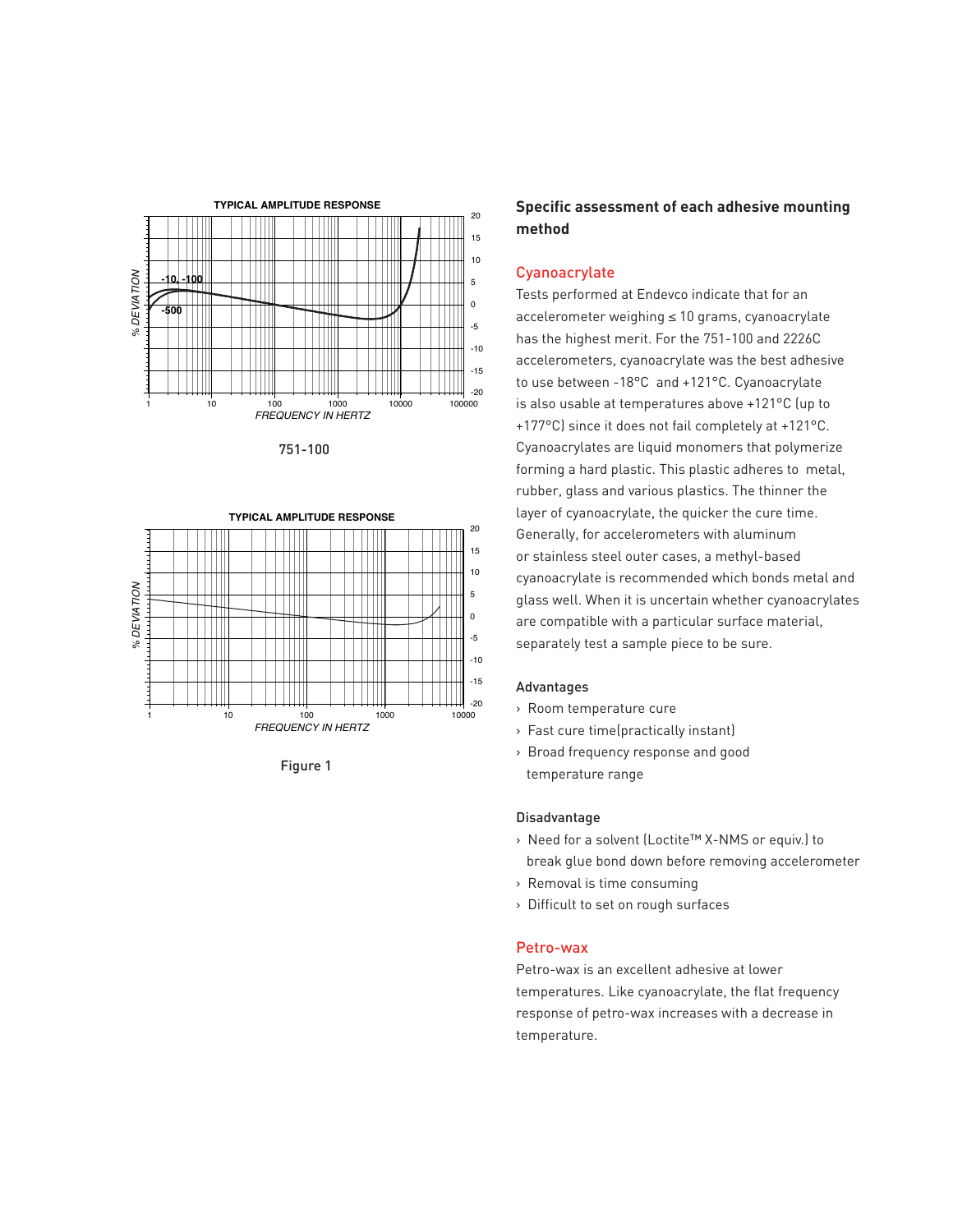

751-100



Figure 1

# **Specific assessment of each adhesive mounting method**

## **Cyanoacrylate**

Tests performed at Endevco indicate that for an accelerometer weighing ≤ 10 grams, cyanoacrylate has the highest merit. For the 751-100 and 2226C accelerometers, cyanoacrylate was the best adhesive to use between -18°C and +121°C. Cyanoacrylate is also usable at temperatures above +121°C (up to +177°C) since it does not fail completely at +121°C. Cyanoacrylates are liquid monomers that polymerize forming a hard plastic. This plastic adheres to metal, rubber, glass and various plastics. The thinner the layer of cyanoacrylate, the quicker the cure time. Generally, for accelerometers with aluminum or stainless steel outer cases, a methyl-based cyanoacrylate is recommended which bonds metal and glass well. When it is uncertain whether cyanoacrylates are compatible with a particular surface material, separately test a sample piece to be sure.

#### Advantages

- > Room temperature cure
- > Fast cure time(practically instant)
- > Broad frequency response and good temperature range

#### Disadvantage

- > Need for a solvent (Loctite™ X-NMS or equiv.) to break glue bond down before removing accelerometer
- > Removal is time consuming
- > Difficult to set on rough surfaces

## Petro-wax

Petro-wax is an excellent adhesive at lower temperatures. Like cyanoacrylate, the flat frequency response of petro-wax increases with a decrease in temperature.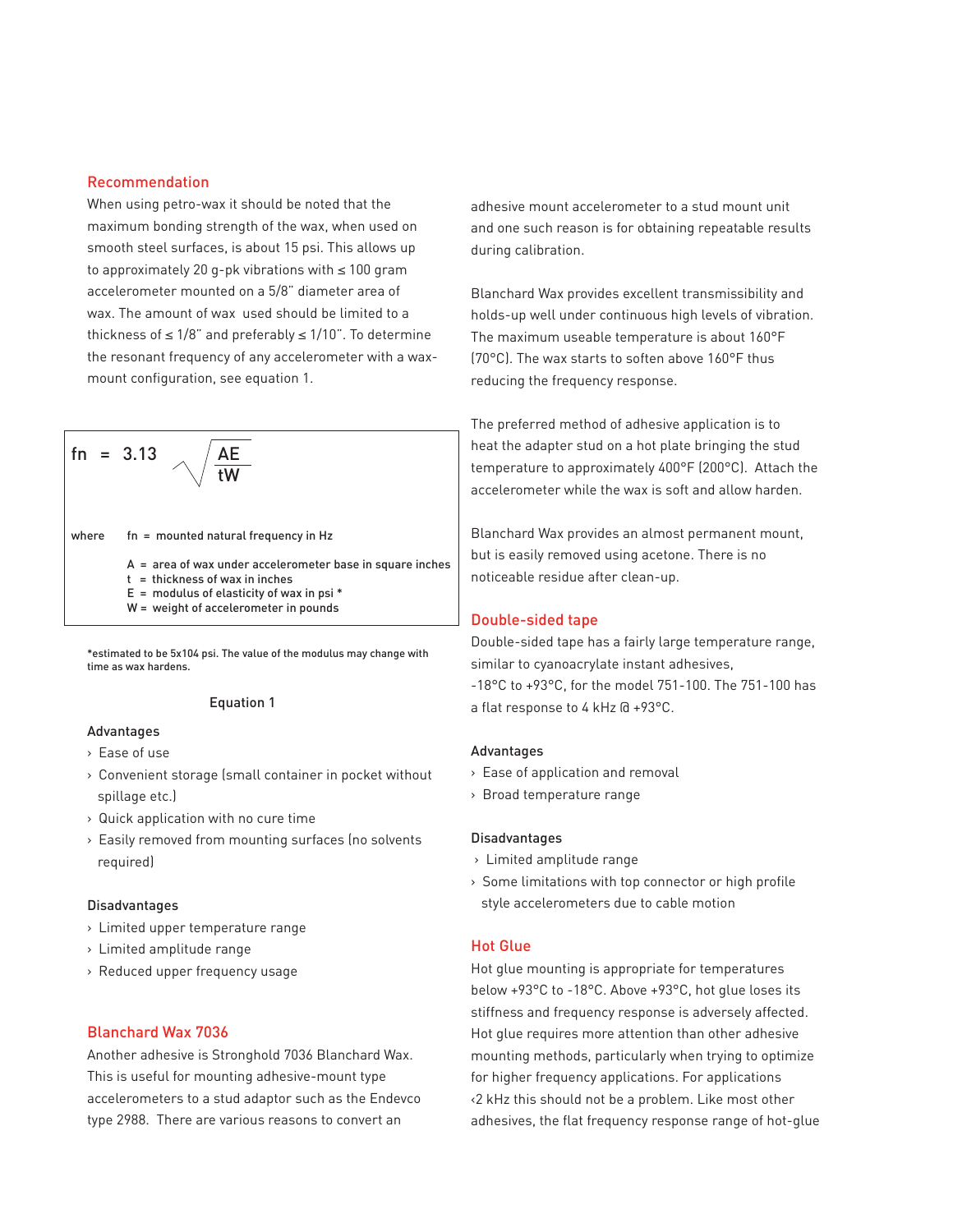## Recommendation

When using petro-wax it should be noted that the maximum bonding strength of the wax, when used on smooth steel surfaces, is about 15 psi. This allows up to approximately 20 g-pk vibrations with ≤ 100 gram accelerometer mounted on a 5/8" diameter area of wax. The amount of wax used should be limited to a thickness of  $\leq 1/8$ " and preferably  $\leq 1/10$ ". To determine the resonant frequency of any accelerometer with a waxmount configuration, see equation 1.

fn = 3.13 AE tW where fn = mounted natural frequency in Hz A = area of wax under accelerometer base in square inches t = thickness of wax in inches E = modulus of elasticity of wax in psi \* W = weight of accelerometer in pounds

\*estimated to be 5x104 psi. The value of the modulus may change with time as wax hardens.

### Equation 1

## Advantages

- > Ease of use
- > Convenient storage (small container in pocket without spillage etc.)
- > Quick application with no cure time
- > Easily removed from mounting surfaces (no solvents required)

#### Disadvantages

- > Limited upper temperature range
- > Limited amplitude range
- > Reduced upper frequency usage

### Blanchard Wax 7036

Another adhesive is Stronghold 7036 Blanchard Wax. This is useful for mounting adhesive-mount type accelerometers to a stud adaptor such as the Endevco type 2988. There are various reasons to convert an

adhesive mount accelerometer to a stud mount unit and one such reason is for obtaining repeatable results during calibration.

Blanchard Wax provides excellent transmissibility and holds-up well under continuous high levels of vibration. The maximum useable temperature is about 160°F (70°C). The wax starts to soften above 160°F thus reducing the frequency response.

The preferred method of adhesive application is to heat the adapter stud on a hot plate bringing the stud temperature to approximately 400°F (200°C). Attach the accelerometer while the wax is soft and allow harden.

Blanchard Wax provides an almost permanent mount, but is easily removed using acetone. There is no noticeable residue after clean-up.

#### Double-sided tape

Double-sided tape has a fairly large temperature range, similar to cyanoacrylate instant adhesives, -18°C to +93°C, for the model 751-100. The 751-100 has a flat response to 4 kHz @ +93°C.

#### Advantages

- > Ease of application and removal
- > Broad temperature range

#### Disadvantages

- > Limited amplitude range
- > Some limitations with top connector or high profile style accelerometers due to cable motion

## Hot Glue

Hot glue mounting is appropriate for temperatures below +93°C to -18°C. Above +93°C, hot glue loses its stiffness and frequency response is adversely affected. Hot glue requires more attention than other adhesive mounting methods, particularly when trying to optimize for higher frequency applications. For applications <2 kHz this should not be a problem. Like most other adhesives, the flat frequency response range of hot-glue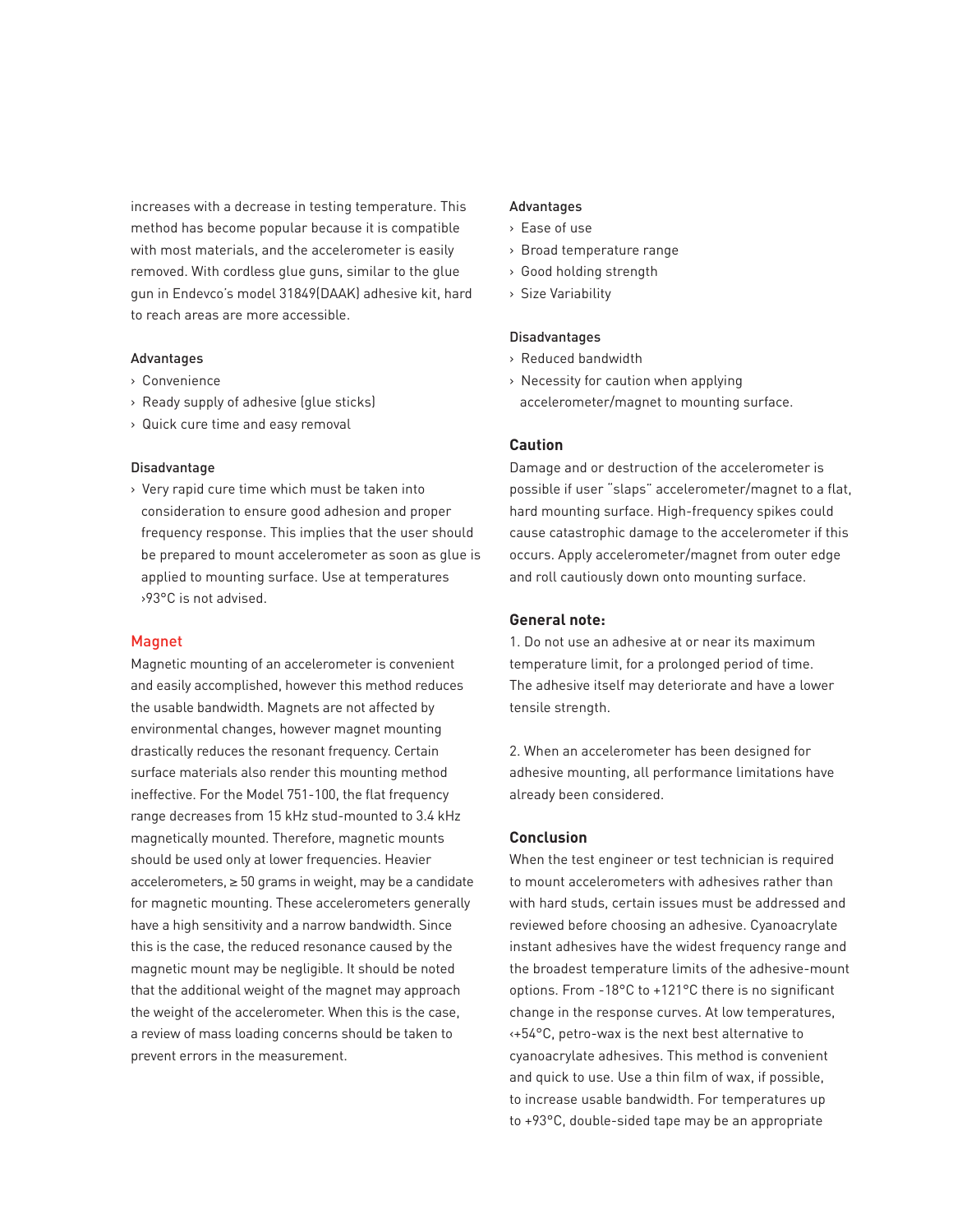increases with a decrease in testing temperature. This method has become popular because it is compatible with most materials, and the accelerometer is easily removed. With cordless glue guns, similar to the glue gun in Endevco's model 31849(DAAK) adhesive kit, hard to reach areas are more accessible.

## Advantages

- > Convenience
- > Ready supply of adhesive (glue sticks)
- > Quick cure time and easy removal

#### Disadvantage

> Very rapid cure time which must be taken into consideration to ensure good adhesion and proper frequency response. This implies that the user should be prepared to mount accelerometer as soon as glue is applied to mounting surface. Use at temperatures >93°C is not advised.

## Magnet

Magnetic mounting of an accelerometer is convenient and easily accomplished, however this method reduces the usable bandwidth. Magnets are not affected by environmental changes, however magnet mounting drastically reduces the resonant frequency. Certain surface materials also render this mounting method ineffective. For the Model 751-100, the flat frequency range decreases from 15 kHz stud-mounted to 3.4 kHz magnetically mounted. Therefore, magnetic mounts should be used only at lower frequencies. Heavier accelerometers, ≥ 50 grams in weight, may be a candidate for magnetic mounting. These accelerometers generally have a high sensitivity and a narrow bandwidth. Since this is the case, the reduced resonance caused by the magnetic mount may be negligible. It should be noted that the additional weight of the magnet may approach the weight of the accelerometer. When this is the case, a review of mass loading concerns should be taken to prevent errors in the measurement.

#### Advantages

- > Ease of use
- > Broad temperature range
- > Good holding strength
- > Size Variability

## Disadvantages

- > Reduced bandwidth
- > Necessity for caution when applying accelerometer/magnet to mounting surface.

# **Caution**

Damage and or destruction of the accelerometer is possible if user "slaps" accelerometer/magnet to a flat, hard mounting surface. High-frequency spikes could cause catastrophic damage to the accelerometer if this occurs. Apply accelerometer/magnet from outer edge and roll cautiously down onto mounting surface.

#### **General note:**

1. Do not use an adhesive at or near its maximum temperature limit, for a prolonged period of time. The adhesive itself may deteriorate and have a lower tensile strength.

2. When an accelerometer has been designed for adhesive mounting, all performance limitations have already been considered.

### **Conclusion**

When the test engineer or test technician is required to mount accelerometers with adhesives rather than with hard studs, certain issues must be addressed and reviewed before choosing an adhesive. Cyanoacrylate instant adhesives have the widest frequency range and the broadest temperature limits of the adhesive-mount options. From -18°C to +121°C there is no significant change in the response curves. At low temperatures, <+54°C, petro-wax is the next best alternative to cyanoacrylate adhesives. This method is convenient and quick to use. Use a thin film of wax, if possible, to increase usable bandwidth. For temperatures up to +93°C, double-sided tape may be an appropriate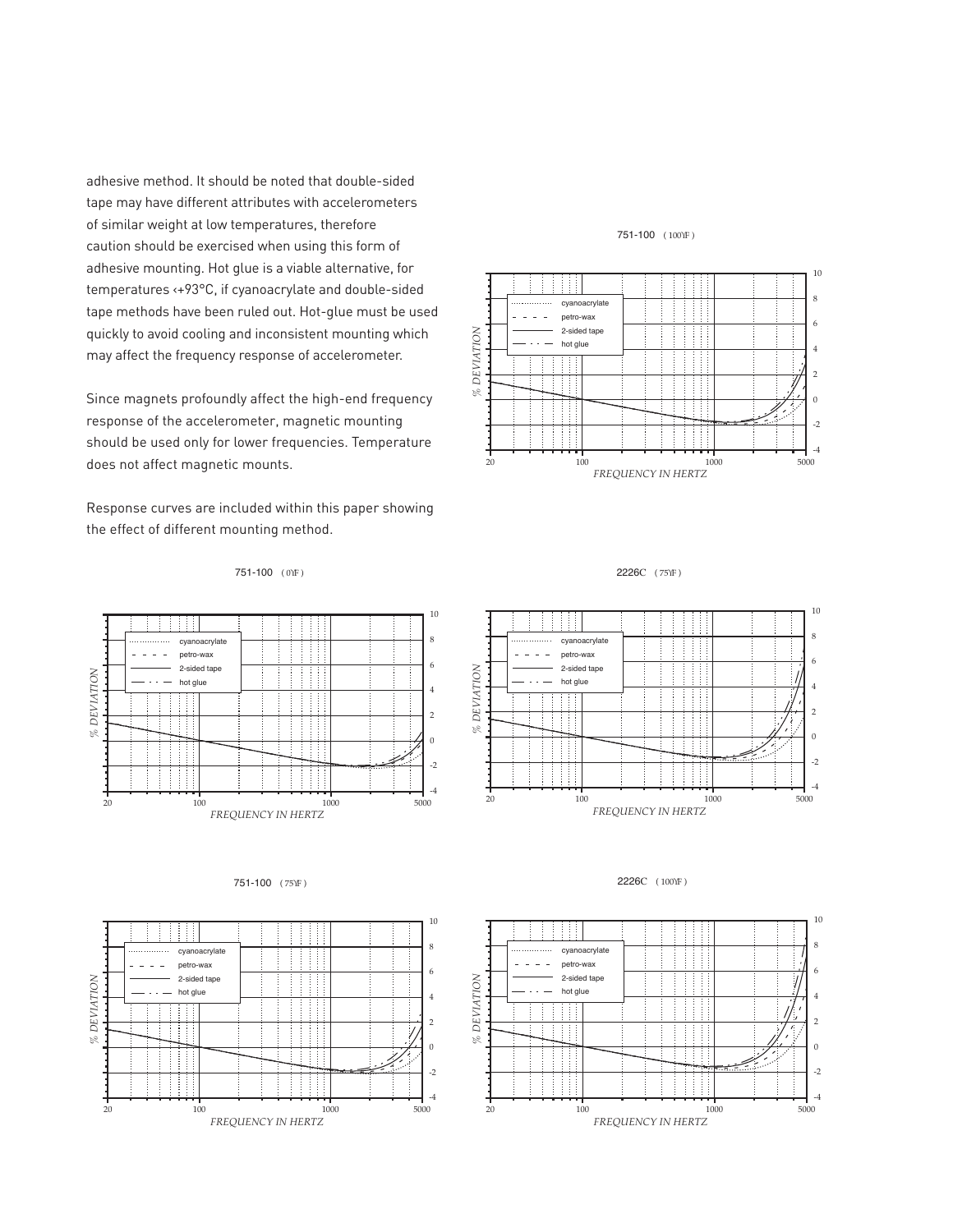adhesive method. It should be noted that double-sided tape may have different attributes with accelerometers of similar weight at low temperatures, therefore caution should be exercised when using this form of adhesive mounting. Hot glue is a viable alternative, for temperatures <+93°C, if cyanoacrylate and double-sided tape methods have been ruled out. Hot-glue must be used quickly to avoid cooling and inconsistent mounting which may affect the frequency response of accelerometer.

Since magnets profoundly affect the high-end frequency response of the accelerometer, magnetic mounting should be used only for lower frequencies. Temperature does not affect magnetic mounts.

Response curves are included within this paper showing the effect of different mounting method.



751-100 ( 100ϒF )

#### 751-100 ( 0YF)



#### 751-100 ( 75ϒF )







2226C ( 100ϒF )

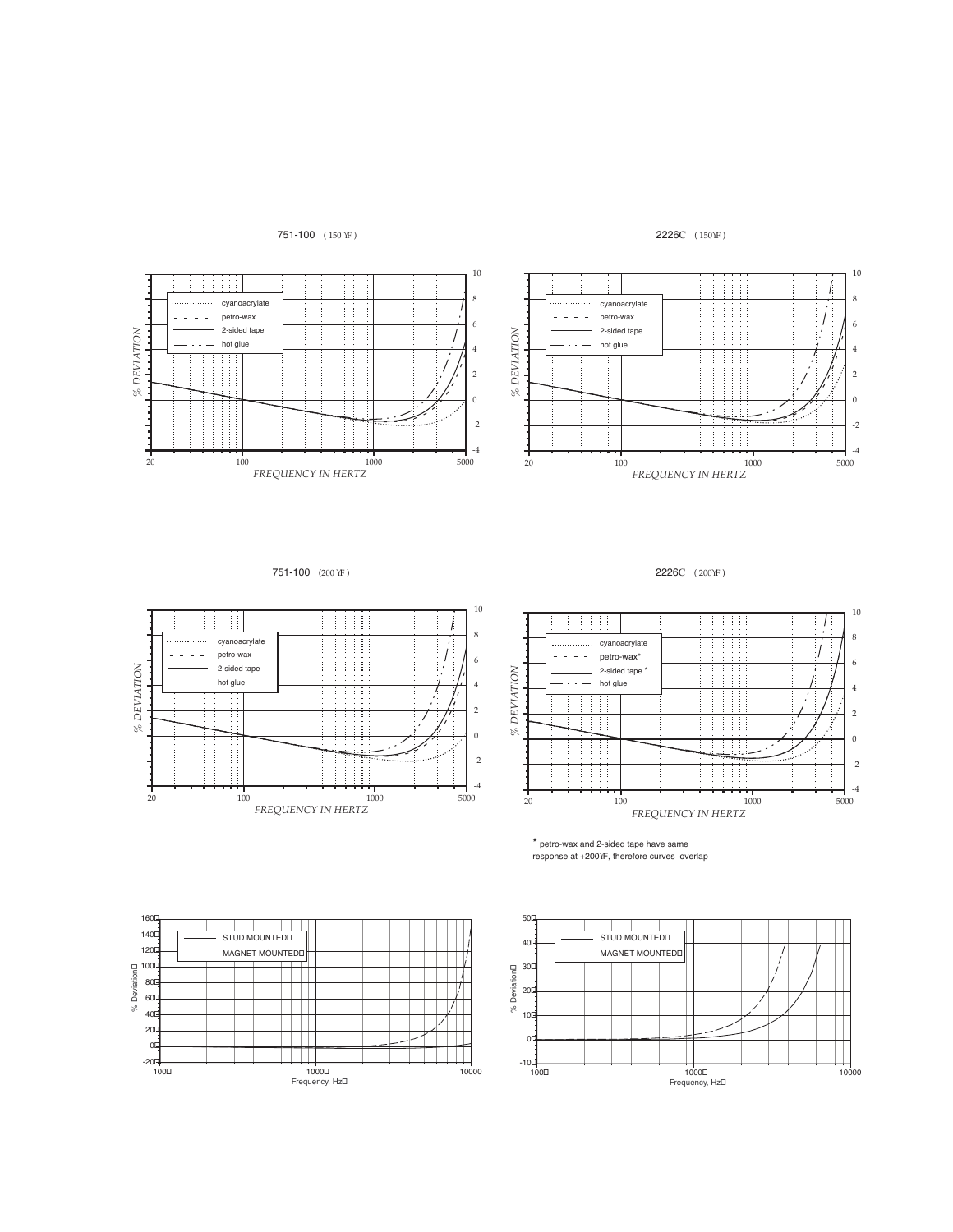

cyanoacrylate petro-wax 2-sided tape hot glue

*% DEVIATION*

 $\%$  DEVIATION





751-100 (200 ϒF )



2226C ( 200ϒF )



\* petro-wax and 2-sided tape have same<br>response at +200YF, therefore curves overlap